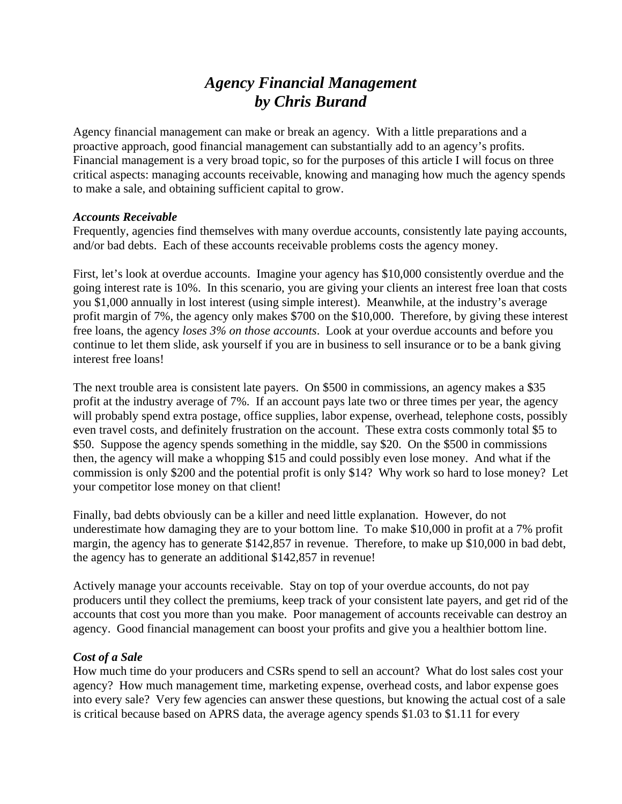## *Agency Financial Management by Chris Burand*

Agency financial management can make or break an agency. With a little preparations and a proactive approach, good financial management can substantially add to an agency's profits. Financial management is a very broad topic, so for the purposes of this article I will focus on three critical aspects: managing accounts receivable, knowing and managing how much the agency spends to make a sale, and obtaining sufficient capital to grow.

## *Accounts Receivable*

Frequently, agencies find themselves with many overdue accounts, consistently late paying accounts, and/or bad debts. Each of these accounts receivable problems costs the agency money.

First, let's look at overdue accounts. Imagine your agency has \$10,000 consistently overdue and the going interest rate is 10%. In this scenario, you are giving your clients an interest free loan that costs you \$1,000 annually in lost interest (using simple interest). Meanwhile, at the industry's average profit margin of 7%, the agency only makes \$700 on the \$10,000. Therefore, by giving these interest free loans, the agency *loses 3% on those accounts*. Look at your overdue accounts and before you continue to let them slide, ask yourself if you are in business to sell insurance or to be a bank giving interest free loans!

The next trouble area is consistent late payers. On \$500 in commissions, an agency makes a \$35 profit at the industry average of 7%. If an account pays late two or three times per year, the agency will probably spend extra postage, office supplies, labor expense, overhead, telephone costs, possibly even travel costs, and definitely frustration on the account. These extra costs commonly total \$5 to \$50. Suppose the agency spends something in the middle, say \$20. On the \$500 in commissions then, the agency will make a whopping \$15 and could possibly even lose money. And what if the commission is only \$200 and the potential profit is only \$14? Why work so hard to lose money? Let your competitor lose money on that client!

Finally, bad debts obviously can be a killer and need little explanation. However, do not underestimate how damaging they are to your bottom line. To make \$10,000 in profit at a 7% profit margin, the agency has to generate \$142,857 in revenue. Therefore, to make up \$10,000 in bad debt, the agency has to generate an additional \$142,857 in revenue!

Actively manage your accounts receivable. Stay on top of your overdue accounts, do not pay producers until they collect the premiums, keep track of your consistent late payers, and get rid of the accounts that cost you more than you make. Poor management of accounts receivable can destroy an agency. Good financial management can boost your profits and give you a healthier bottom line.

## *Cost of a Sale*

How much time do your producers and CSRs spend to sell an account? What do lost sales cost your agency? How much management time, marketing expense, overhead costs, and labor expense goes into every sale? Very few agencies can answer these questions, but knowing the actual cost of a sale is critical because based on APRS data, the average agency spends \$1.03 to \$1.11 for every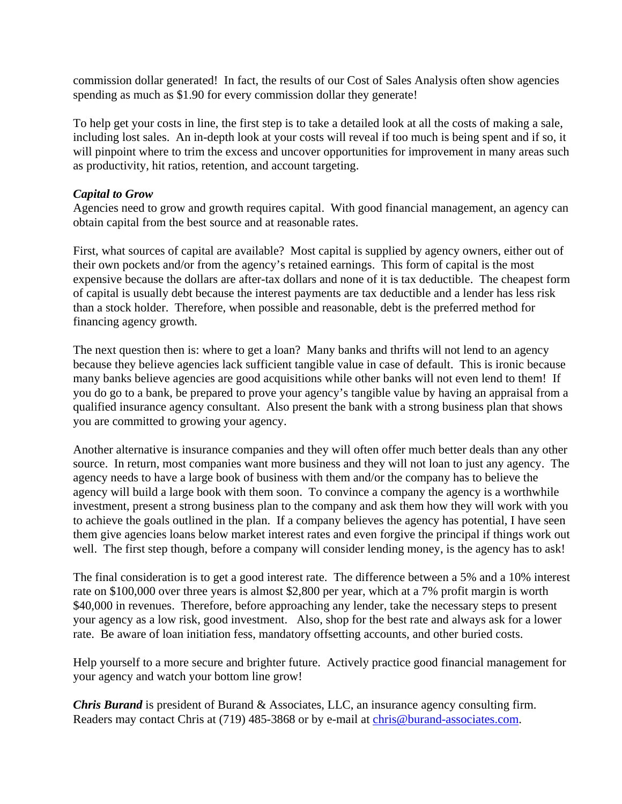commission dollar generated! In fact, the results of our Cost of Sales Analysis often show agencies spending as much as \$1.90 for every commission dollar they generate!

To help get your costs in line, the first step is to take a detailed look at all the costs of making a sale, including lost sales. An in-depth look at your costs will reveal if too much is being spent and if so, it will pinpoint where to trim the excess and uncover opportunities for improvement in many areas such as productivity, hit ratios, retention, and account targeting.

## *Capital to Grow*

Agencies need to grow and growth requires capital. With good financial management, an agency can obtain capital from the best source and at reasonable rates.

First, what sources of capital are available? Most capital is supplied by agency owners, either out of their own pockets and/or from the agency's retained earnings. This form of capital is the most expensive because the dollars are after-tax dollars and none of it is tax deductible. The cheapest form of capital is usually debt because the interest payments are tax deductible and a lender has less risk than a stock holder. Therefore, when possible and reasonable, debt is the preferred method for financing agency growth.

The next question then is: where to get a loan? Many banks and thrifts will not lend to an agency because they believe agencies lack sufficient tangible value in case of default. This is ironic because many banks believe agencies are good acquisitions while other banks will not even lend to them! If you do go to a bank, be prepared to prove your agency's tangible value by having an appraisal from a qualified insurance agency consultant. Also present the bank with a strong business plan that shows you are committed to growing your agency.

Another alternative is insurance companies and they will often offer much better deals than any other source. In return, most companies want more business and they will not loan to just any agency. The agency needs to have a large book of business with them and/or the company has to believe the agency will build a large book with them soon. To convince a company the agency is a worthwhile investment, present a strong business plan to the company and ask them how they will work with you to achieve the goals outlined in the plan. If a company believes the agency has potential, I have seen them give agencies loans below market interest rates and even forgive the principal if things work out well. The first step though, before a company will consider lending money, is the agency has to ask!

The final consideration is to get a good interest rate. The difference between a 5% and a 10% interest rate on \$100,000 over three years is almost \$2,800 per year, which at a 7% profit margin is worth \$40,000 in revenues. Therefore, before approaching any lender, take the necessary steps to present your agency as a low risk, good investment. Also, shop for the best rate and always ask for a lower rate. Be aware of loan initiation fess, mandatory offsetting accounts, and other buried costs.

Help yourself to a more secure and brighter future. Actively practice good financial management for your agency and watch your bottom line grow!

*Chris Burand* is president of Burand & Associates, LLC, an insurance agency consulting firm. Readers may contact Chris at (719) 485-3868 or by e-mail at [chris@burand-associates.com.](mailto:chris@burand-associates.com)